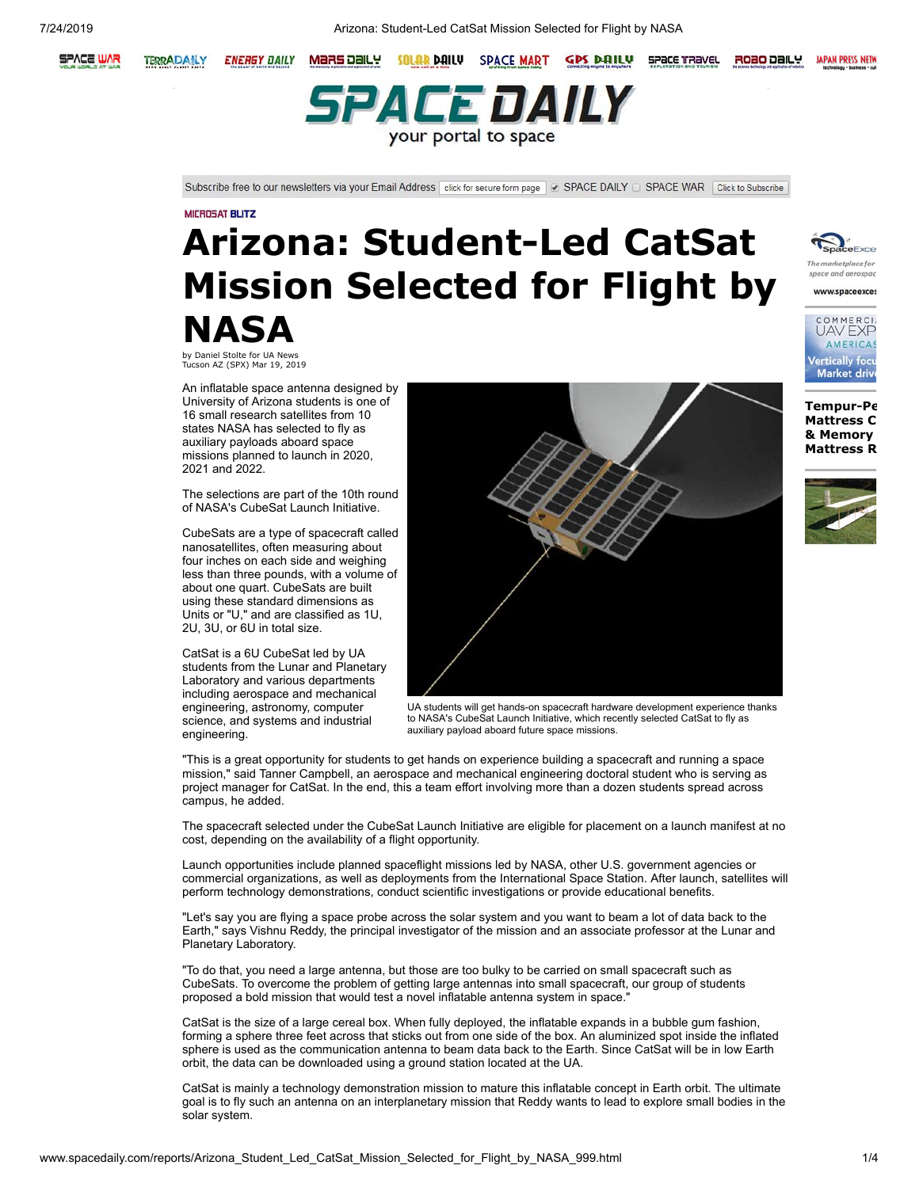

**ENERGY DAILY** 



Subscribe free to our newsletters via your Email Address click for secure form page v SPACE DAILY D SPACE WAR Click to Subscribe

#### **MICROSAT BLITZ**

# **Arizona: Student-Led CatSat Mission Selected for Flight by NASA**

by Daniel Stolte for UA News Tucson AZ (SPX) Mar 19, 2019

An inflatable space antenna designed by University of Arizona students is one of 16 small research satellites from 10 states NASA has selected to fly as auxiliary payloads aboard space missions planned to launch in 2020, 2021 and 2022.

The selections are part of the 10th round of NASA's CubeSat Launch Initiative.

CubeSats are a type of spacecraft called nanosatellites, often measuring about four inches on each side and weighing less than three pounds, with a volume of about one quart. CubeSats are built using these standard dimensions as Units or "U," and are classified as 1U, 2U, 3U, or 6U in total size.

CatSat is a 6U CubeSat led by UA students from the Lunar and Planetary Laboratory and various departments including aerospace and mechanical engineering, astronomy, computer science, and systems and industrial engineering.



UA students will get hands-on spacecraft hardware development experience thanks to NASA's CubeSat Launch Initiative, which recently selected CatSat to fly as auxiliary payload aboard future space missions.

"This is a great opportunity for students to get hands on experience building a spacecraft and running a space mission." said Tanner Campbell, an aerospace and mechanical engineering doctoral student who is serving as project manager for CatSat. In the end, this a team effort involving more than a dozen students spread across campus, he added.

The spacecraft selected under the CubeSat Launch Initiative are eligible for placement on a launch manifest at no cost, depending on the availability of a flight opportunity.

Launch opportunities include planned spaceflight missions led by NASA, other U.S. government agencies or commercial organizations, as well as deployments from the International Space Station. After launch, satellites will perform technology demonstrations, conduct scientific investigations or provide educational benefits.

"Let's say you are flying a space probe across the solar system and you want to beam a lot of data back to the Earth," says Vishnu Reddy, the principal investigator of the mission and an associate professor at the Lunar and Planetary Laboratory.

"To do that, you need a large antenna, but those are too bulky to be carried on small spacecraft such as CubeSats. To overcome the problem of getting large antennas into small spacecraft, our group of students proposed a bold mission that would test a novel inflatable antenna system in space."

CatSat is the size of a large cereal box. When fully deployed, the inflatable expands in a bubble gum fashion, forming a sphere three feet across that sticks out from one side of the box. An aluminized spot inside the inflated sphere is used as the communication antenna to beam data back to the Earth. Since CatSat will be in low Earth orbit, the data can be downloaded using a ground station located at the UA.

CatSat is mainly a technology demonstration mission to mature this inflatable concept in Earth orbit. The ultimate goal is to fly such an antenna on an interplanetary mission that Reddy wants to lead to explore small bodies in the solar system.



**JAPAN PRESS NETW** 

ROBO DAILY



**[Tempur-Pe](http://www.spacedaily.com/tempurpedic-mattress-comparison.htm) Mattress C [& Memory](http://www.spacedaily.com/Memory_Foam_Mattress_Review.html)  Mattress R**

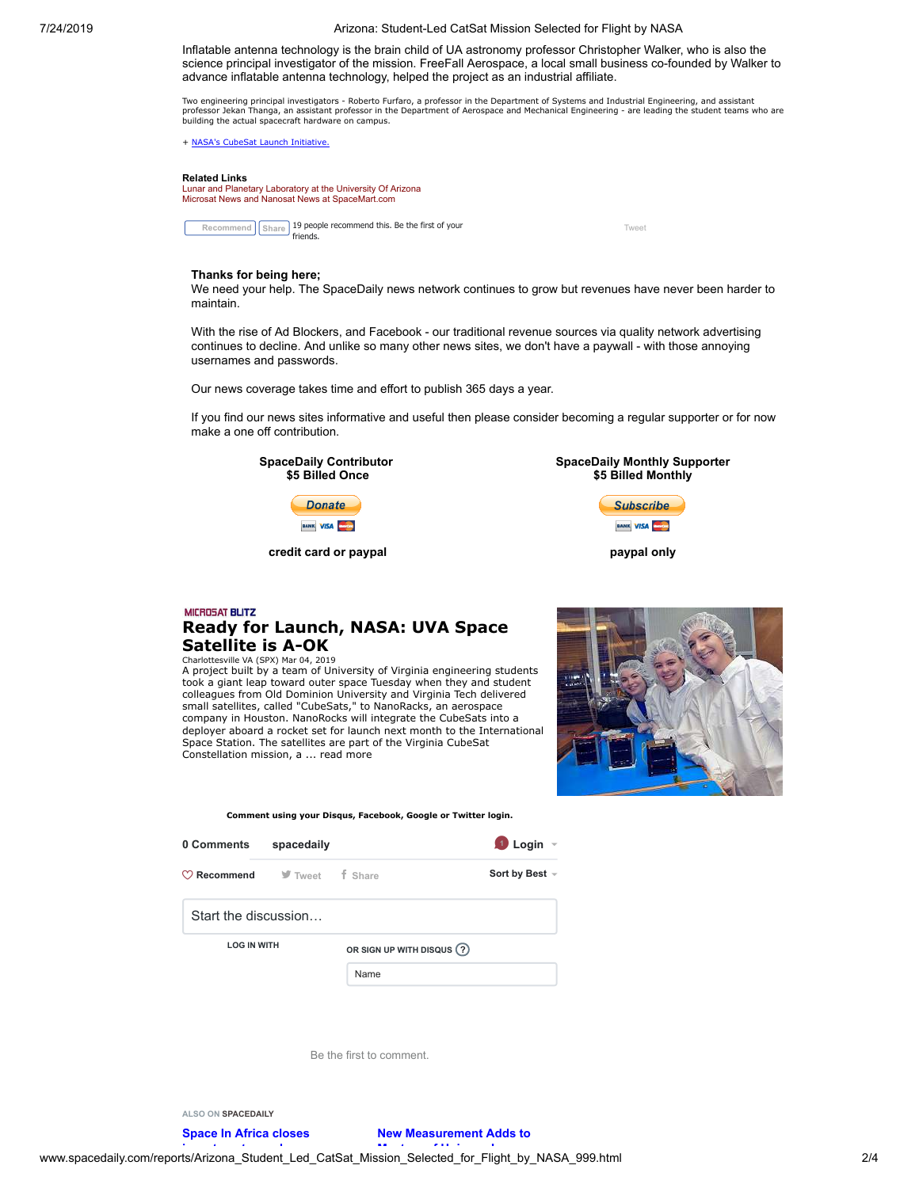Inflatable antenna technology is the brain child of UA astronomy professor Christopher Walker, who is also the science principal investigator of the mission. FreeFall Aerospace, a local small business co-founded by Walker to advance inflatable antenna technology, helped the project as an industrial affiliate.

Two engineering principal investigators - Roberto Furfaro, a professor in the Department of Systems and Industrial Engineering, and assistant<br>professor Jekan Thanga, an assistant professor in the Department of Aerospace an building the actual spacecraft hardware on campus.

+ [NASA's CubeSat](http://www.nasa.gov/directorates/heo/home/CubeSats_initiative) Launch Initiativ

#### **Related Links**

[Lunar and Planetary Laboratory at the University Of Arizona](https://www.lpl.arizona.edu/) [Microsat News and Nanosat News at SpaceMart.com](http://www.spacedaily.com/MicroSat_Blitz.html)

**Recommend** [Share](https://www.facebook.com/sharer/sharer.php?u=http%3A%2F%2Fwww.spacedaily.com%2Freports%2FArizona_Student_Led_CatSat_Mission_Selected_for_Flight_by_NASA_999.html&display=popup&ref=plugin&src=like&kid_directed_site=0&app_id=194748843878882) 19 people recommend this. Be the first of your friends.

[Tweet](https://twitter.com/intent/tweet?original_referer=http%3A%2F%2Fwww.spacedaily.com%2Freports%2FArizona_Student_Led_CatSat_Mission_Selected_for_Flight_by_NASA_999.html&ref_src=twsrc%5Etfw&text=Arizona%3A%20Student-Led%20CatSat%20Mission%20Selected%20for%20Flight%20by%20NASA&tw_p=tweetbutton&url=http%3A%2F%2Fwww.spacedaily.com%2Freports%2FArizona_Student_Led_CatSat_Mission_Selected_for_Flight_by_NASA_999.html)

#### **Thanks for being here;**

We need your help. The SpaceDaily news network continues to grow but revenues have never been harder to maintain.

With the rise of Ad Blockers, and Facebook - our traditional revenue sources via quality network advertising continues to decline. And unlike so many other news sites, we don't have a paywall - with those annoying usernames and passwords.

Our news coverage takes time and effort to publish 365 days a year.

If you find our news sites informative and useful then please consider becoming a regular supporter or for now make a one off contribution.

> **SpaceDaily Contributor \$5 Billed Once Donate**



**credit card or paypal**



**paypal only**

## **MICROSAT BLITZ [Ready for Launch, NASA: UVA Space](http://www.spacedaily.com/reports/Ready_for_Launch_NASA_UVA_Space_Satellite_is_A_OK_999.html) Satellite is A-OK**

Charlottesville VA (SPX) Mar 04, 2019 A project built by a team of University of Virginia engineering students took a giant leap toward outer space Tuesday when they and student colleagues from Old Dominion University and Virginia Tech delivered small satellites, called "CubeSats," to NanoRacks, an aerospace company in Houston. NanoRocks will integrate the CubeSats into a deployer aboard a rocket set for launch next month to the International Space Station. The satellites are part of the Virginia CubeSat Constellation mission, a ... read [more](http://www.spacedaily.com/reports/Ready_for_Launch_NASA_UVA_Space_Satellite_is_A_OK_999.html)



**Comment using your Disqus, Facebook, Google or Twitter login. 0 Comments [spacedaily](https://disqus.com/home/forums/spacedaily/) <sup>1</sup> Login f** Share **Sort by Best**  $\sim$ **LOG IN WITH OR SIGN UP WITH DISQUS ?** Name Start the discussion… **Recommend**

Be the first to comment.

**ALSO ON SPACEDAILY**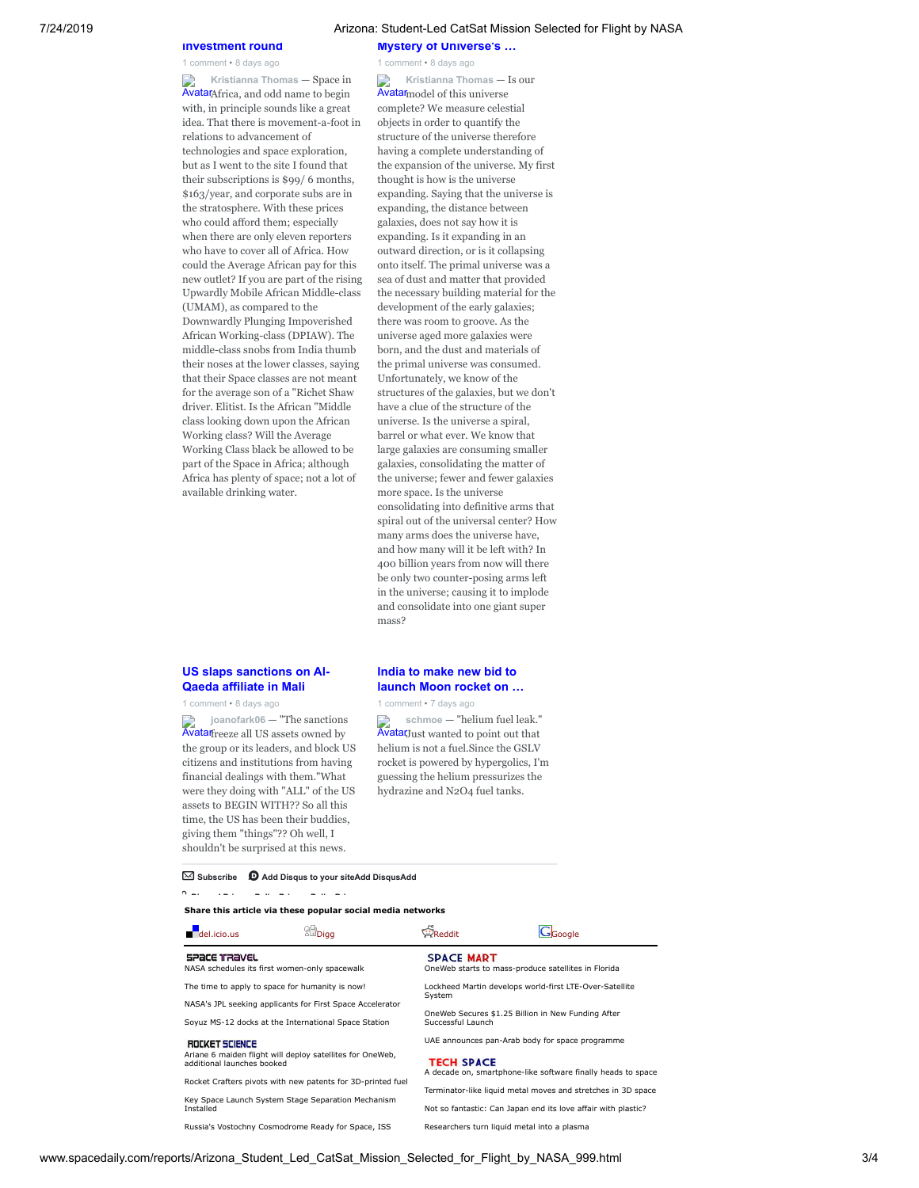**Mystery of Universe's …**

Avatar model of this universe **Kristianna Thomas** — Is our

complete? We measure celestial objects in order to quantify the structure of the universe therefore having a complete understanding of the expansion of the universe. My first thought is how is the universe expanding. Saying that the universe is expanding, the distance between galaxies, does not say how it is expanding. Is it expanding in an outward direction, or is it collapsing onto itself. The primal universe was a sea of dust and matter that provided the necessary building material for the development of the early galaxies; there was room to groove. As the universe aged more galaxies were born, and the dust and materials of the primal universe was consumed. Unfortunately, we know of the structures of the galaxies, but we don't have a clue of the structure of the universe. Is the universe a spiral, barrel or what ever. We know that large galaxies are consuming smaller galaxies, consolidating the matter of the universe; fewer and fewer galaxies more space. Is the universe consolidating into definitive arms that [spiral out of the universal center? How](http://disq.us/?url=http%3A%2F%2Fwww.spacedaily.com%2Freports%2FNew_Measurement_Adds_to_Mystery_of_Universes_Expansion_Rate_999.html&key=lpe3mDDnqqxAy7Y2oUTw_A) many arms does the universe have, and how many will it be left with? In 400 billion years from now will there be only two counter-posing arms left in the universe; causing it to implode and consolidate into one giant super

1 comment • 8 days ago

Avatar Africa, and odd name to begin **Kristianna Thomas** — Space in with, in principle sounds like a great idea. That there is movement-a-foot in relations to advancement of technologies and space exploration, but as I went to the site I found that their subscriptions is \$99/ 6 months, \$163/year, and corporate subs are in the stratosphere. With these prices who could afford them; especially when there are only eleven reporters who have to cover all of Africa. How could the Average African pay for this [new outlet? If you are part of the rising](http://disq.us/?url=http%3A%2F%2Fwww.africadaily.net%2Freports%2FSpace_In_Africa_Closes_Investment_Round_Expands_Staff_To_Eleven_People_Across_Five_African_Nations_999.html&key=b-N7m8p-BU-f6ASYz4UCjQ) Upwardly Mobile African Middle-class (UMAM), as compared to the Downwardly Plunging Impoverished African Working-class (DPIAW). The middle-class snobs from India thumb their noses at the lower classes, saying that their Space classes are not meant for the average son of a "Richet Shaw driver. Elitist. Is the African "Middle class looking down upon the African Working class? Will the Average Working Class black be allowed to be part of the Space in Africa; although Africa has plenty of space; not a lot of available drinking water.

**investment round** 1 comment • 8 days ago

#### **US slaps sanctions on Al-Qaeda affiliate in Mali**

1 comment • 8 days ago

Avatar freeze all US assets owned by **joanofark06** — "The sanctions [the group or its leaders, and block US](http://disq.us/?url=http%3A%2F%2Fwww.spacewar.com%2Freports%2FUS_slaps_sanctions_on_Al-Qaeda_affiliate_in_Mali_999.html&key=PSvO5mB5vC-i0ZPytuAJ9A) citizens and institutions from having financial dealings with them."What were they doing with "ALL" of the US assets to BEGIN WITH?? So all this time, the US has been their buddies, giving them "things"?? Oh well, I shouldn't be surprised at this news.

#### **India to make new bid to launch Moon rocket on …**

1 comment • 7 days ago

mass?

AvatarJust wanted to point out that **schmoe** — "helium fuel leak." helium is not a fuel.Since the GSLV [rocket is powered by hypergolics, I'm](http://disq.us/?url=http%3A%2F%2Fwww.spacedaily.com%2Freports%2FIndia_to_make_new_bid_to_launch_Moon_rocket_on_Monday_999.html&key=fZSZui0ZWBxyeC2kQSNIwg) guessing the helium pressurizes the hydrazine and N2O4 fuel tanks.

### ✉ **Subscribe** d **[Add Disqus to your siteAdd DisqusAdd](https://disqus.com/)**

**Di ' P i P li P i P li P i**

#### **Share this article via these popular social media networks**  $\sim$   $\approx$

| $\blacksquare$ del.icio.us                                                                                                     | all Digg                                      | Reddit                                                                                                                       | Gl <sub>Google</sub> |
|--------------------------------------------------------------------------------------------------------------------------------|-----------------------------------------------|------------------------------------------------------------------------------------------------------------------------------|----------------------|
| SPACE TRAVEL                                                                                                                   | NASA schedules its first women-only spacewalk | <b>SPACE MART</b><br>OneWeb starts to mass-produce satellites in Florida                                                     |                      |
| The time to apply to space for humanity is now!<br>NASA's JPL seeking applicants for First Space Accelerator                   |                                               | Lockheed Martin develops world-first LTE-Over-Satellite<br>System                                                            |                      |
| Soyuz MS-12 docks at the International Space Station                                                                           |                                               | OneWeb Secures \$1.25 Billion in New Funding After<br>Successful Launch                                                      |                      |
| ROCKET SCIENCE<br>Ariane 6 maiden flight will deploy satellites for OneWeb,<br>additional launches booked                      |                                               | UAE announces pan-Arab body for space programme<br><b>TECH SPACE</b>                                                         |                      |
| Rocket Crafters pivots with new patents for 3D-printed fuel<br>Key Space Launch System Stage Separation Mechanism<br>Installed |                                               | A decade on, smartphone-like software finally heads to space<br>Terminator-like liquid metal moves and stretches in 3D space |                      |
|                                                                                                                                |                                               | Not so fantastic: Can Japan end its love affair with plastic?                                                                |                      |
| Russia's Vostochny Cosmodrome Ready for Space, ISS                                                                             |                                               | Researchers turn liquid metal into a plasma                                                                                  |                      |